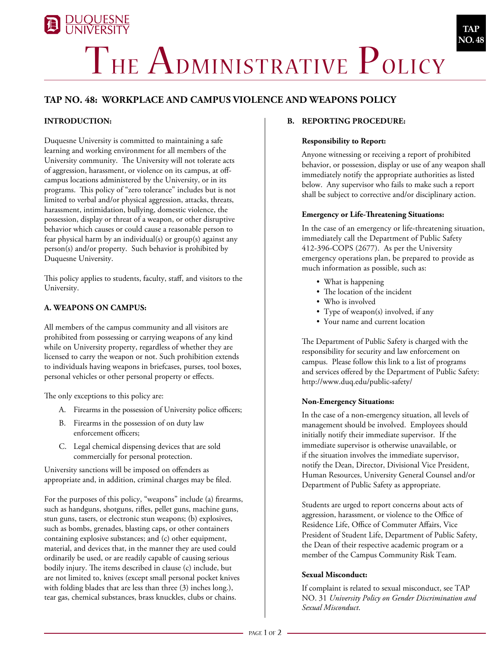# **DUQUESNE**<br>UNIVERSITY THE ADMINISTRATIVE POLICY

# **TAP No. 48: WORKPLACE AND CAMPUS VIOLENCE and weapons POLICY**

# **INTRODUCTION:**

Duquesne University is committed to maintaining a safe learning and working environment for all members of the University community. The University will not tolerate acts of aggression, harassment, or violence on its campus, at offcampus locations administered by the University, or in its programs. This policy of "zero tolerance" includes but is not limited to verbal and/or physical aggression, attacks, threats, harassment, intimidation, bullying, domestic violence, the possession, display or threat of a weapon, or other disruptive behavior which causes or could cause a reasonable person to fear physical harm by an individual(s) or group(s) against any person(s) and/or property. Such behavior is prohibited by Duquesne University.

This policy applies to students, faculty, staff, and visitors to the University.

# **A. WEAPONS ON CAMPUS:**

All members of the campus community and all visitors are prohibited from possessing or carrying weapons of any kind while on University property, regardless of whether they are licensed to carry the weapon or not. Such prohibition extends to individuals having weapons in briefcases, purses, tool boxes, personal vehicles or other personal property or effects.

The only exceptions to this policy are:

- A. Firearms in the possession of University police officers;
- B. Firearms in the possession of on duty law enforcement officers;
- C. Legal chemical dispensing devices that are sold commercially for personal protection.

University sanctions will be imposed on offenders as appropriate and, in addition, criminal charges may be filed.

For the purposes of this policy, "weapons" include (a) firearms, such as handguns, shotguns, rifles, pellet guns, machine guns, stun guns, tasers, or electronic stun weapons; (b) explosives, such as bombs, grenades, blasting caps, or other containers containing explosive substances; and (c) other equipment, material, and devices that, in the manner they are used could ordinarily be used, or are readily capable of causing serious bodily injury. The items described in clause (c) include, but are not limited to, knives (except small personal pocket knives with folding blades that are less than three (3) inches long.), tear gas, chemical substances, brass knuckles, clubs or chains.

### **B. Reporting Procedure:**

#### **Responsibility to Report:**

Anyone witnessing or receiving a report of prohibited behavior, or possession, display or use of any weapon shall immediately notify the appropriate authorities as listed below. Any supervisor who fails to make such a report shall be subject to corrective and/or disciplinary action.

**TAP NO. 48**

#### **Emergency or Life-Threatening Situations:**

In the case of an emergency or life-threatening situation, immediately call the Department of Public Safety 412-396-COPS (2677). As per the University emergency operations plan, be prepared to provide as much information as possible, such as:

- What is happening
- The location of the incident
- Who is involved
- Type of weapon(s) involved, if any
- Your name and current location

The Department of Public Safety is charged with the responsibility for security and law enforcement on campus. Please follow this link to a list of programs and services offered by the Department of Public Safety: http://www.duq.edu/public-safety/

#### **Non-Emergency Situations:**

In the case of a non-emergency situation, all levels of management should be involved. Employees should initially notify their immediate supervisor. If the immediate supervisor is otherwise unavailable, or if the situation involves the immediate supervisor, notify the Dean, Director, Divisional Vice President, Human Resources, University General Counsel and/or Department of Public Safety as appropriate.

Students are urged to report concerns about acts of aggression, harassment, or violence to the Office of Residence Life, Office of Commuter Affairs, Vice President of Student Life, Department of Public Safety, the Dean of their respective academic program or a member of the Campus Community Risk Team.

#### **Sexual Misconduct:**

If complaint is related to sexual misconduct, see TAP NO. 31 *University Policy on Gender Discrimination and Sexual Misconduct*.